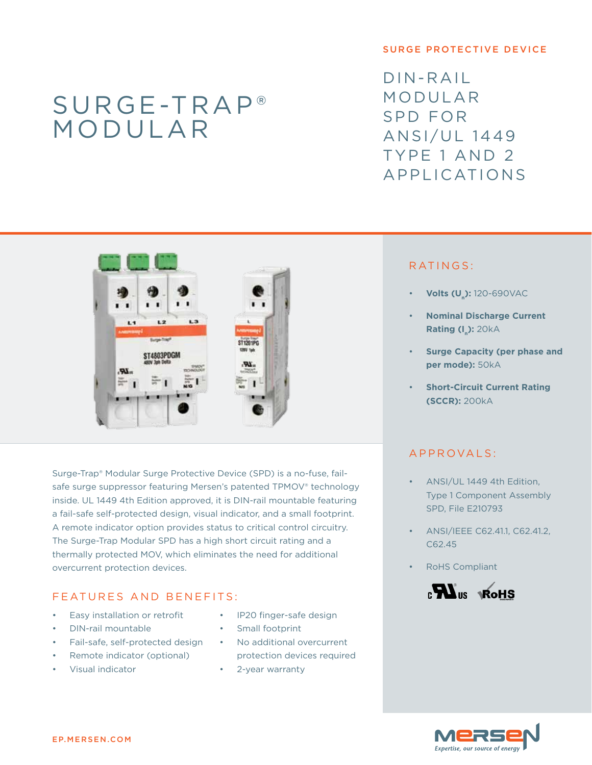# Surge-Trap® modular

#### surge protective device

 $DIN-RAII$ modular SPD for ANSI/UL 1449 Type 1 and 2 Applications



Surge-Trap® Modular Surge Protective Device (SPD) is a no-fuse, failsafe surge suppressor featuring Mersen's patented TPMOV® technology inside. UL 1449 4th Edition approved, it is DIN-rail mountable featuring a fail-safe self-protected design, visual indicator, and a small footprint. A remote indicator option provides status to critical control circuitry. The Surge-Trap Modular SPD has a high short circuit rating and a thermally protected MOV, which eliminates the need for additional overcurrent protection devices.

# F E AT URES AND BENEFITS:

- Easy installation or retrofit
- DIN-rail mountable
- Fail-safe, self-protected design
- Remote indicator (optional)
- Visual indicator
- IP20 finger-safe design
- Small footprint
- No additional overcurrent protection devices required
- 2-year warranty

## RATINGS:

- **Volts (U<sub>n</sub>):** 120-690VAC
- **Nominal Discharge Current Rating (I<sub>n</sub>): 20kA**
- **Surge Capacity (per phase and per mode):** 50kA
- **Short-Circuit Current Rating (SCCR):** 200kA

## A PPROVALS:

- ANSI/UL 1449 4th Edition, Type 1 Component Assembly SPD, File E210793
- ANSI/IEEE C62.41.1, C62.41.2, C62.45
- **RoHS Compliant**



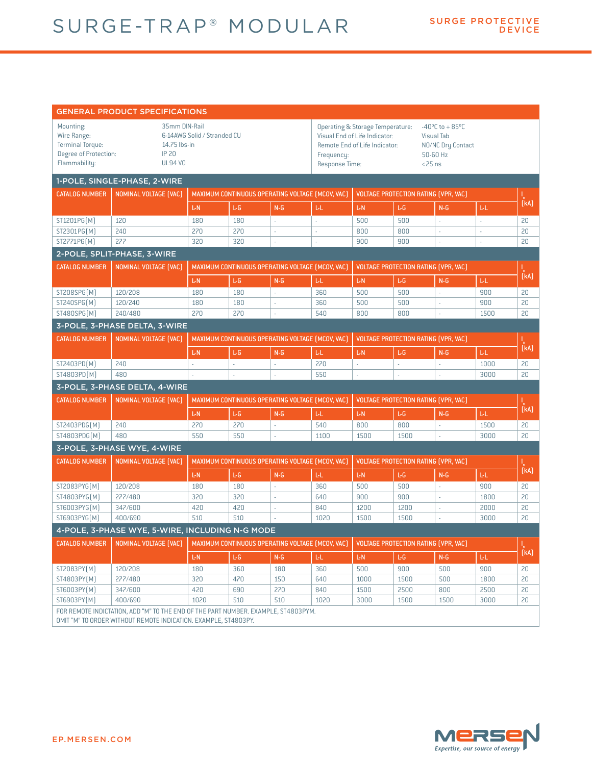| <b>GENERAL PRODUCT SPECIFICATIONS</b>                                                                                                                 |                                                                                |                                                                                                 |                                                                                                 |                                                  |                                                                                                                                                                                                                                 |                                             |                                      |          |                          |                         |  |  |
|-------------------------------------------------------------------------------------------------------------------------------------------------------|--------------------------------------------------------------------------------|-------------------------------------------------------------------------------------------------|-------------------------------------------------------------------------------------------------|--------------------------------------------------|---------------------------------------------------------------------------------------------------------------------------------------------------------------------------------------------------------------------------------|---------------------------------------------|--------------------------------------|----------|--------------------------|-------------------------|--|--|
| Mounting:<br>Wire Range:<br><b>Terminal Torque:</b><br>Degree of Protection:<br>Flammability:                                                         | 35mm DIN-Rail<br>6-14AWG Solid / Stranded CU<br>14.75 lbs-in<br><b>UL94 VO</b> |                                                                                                 |                                                                                                 | Frequency:                                       | <b>Operating &amp; Storage Temperature:</b><br>$-40^{\circ}$ C to + 85°C<br>Visual End of Life Indicator:<br><b>Visual Tab</b><br>Remote End of Life Indicator:<br>NO/NC Dry Contact<br>50-60 Hz<br>Response Time:<br>$<$ 25 ns |                                             |                                      |          |                          |                         |  |  |
| 1-POLE, SINGLE-PHASE, 2-WIRE                                                                                                                          |                                                                                |                                                                                                 |                                                                                                 |                                                  |                                                                                                                                                                                                                                 |                                             |                                      |          |                          |                         |  |  |
| <b>CATALOG NUMBER</b>                                                                                                                                 | NOMINAL VOLTAGE [VAC]                                                          |                                                                                                 |                                                                                                 |                                                  | MAXIMUM CONTINUOUS OPERATING VOLTAGE (MCOV, VAC)                                                                                                                                                                                | <b>VOLTAGE PROTECTION RATING (VPR, VAC)</b> |                                      |          |                          | '。<br>[kA]              |  |  |
|                                                                                                                                                       |                                                                                | L-N                                                                                             | L-G                                                                                             | $N-G$                                            | ЪL.                                                                                                                                                                                                                             | L-N                                         | L-G                                  | $N - G$  | LL.                      |                         |  |  |
| ST1201PG(M)                                                                                                                                           | 120                                                                            | 180                                                                                             | 180                                                                                             | ä,                                               | $\overline{\phantom{a}}$                                                                                                                                                                                                        | 500                                         | 500                                  | L.       | $\overline{\phantom{a}}$ | 20                      |  |  |
| ST2301PG(M)                                                                                                                                           | 240                                                                            | 270                                                                                             | 270                                                                                             | ÷,                                               | ÷,                                                                                                                                                                                                                              | 800                                         | 800                                  | ÷        |                          | 20                      |  |  |
| ST2771PG(M)                                                                                                                                           | 277                                                                            | 320                                                                                             | 320                                                                                             | L.                                               |                                                                                                                                                                                                                                 | 900                                         | 900                                  | L.       | L.                       | 20                      |  |  |
| 2-POLE, SPLIT-PHASE, 3-WIRE                                                                                                                           |                                                                                |                                                                                                 |                                                                                                 |                                                  |                                                                                                                                                                                                                                 |                                             |                                      |          |                          |                         |  |  |
| <b>CATALOG NUMBER</b>                                                                                                                                 | NOMINAL VOLTAGE (VAC)                                                          | MAXIMUM CONTINUOUS OPERATING VOLTAGE (MCOV, VAC)                                                |                                                                                                 |                                                  |                                                                                                                                                                                                                                 | <b>VOLTAGE PROTECTION RATING (VPR, VAC)</b> |                                      |          |                          | $\frac{1}{k}$<br>$(kA)$ |  |  |
|                                                                                                                                                       |                                                                                | L-N                                                                                             | L-G                                                                                             | $N-G$                                            | <b>LL</b>                                                                                                                                                                                                                       | L-N                                         | L-G                                  | $N-G$    | ЪL.                      |                         |  |  |
| ST208SPG(M)                                                                                                                                           | 120/208                                                                        | 180                                                                                             | 180                                                                                             | L.                                               | 360                                                                                                                                                                                                                             | 500                                         | 500                                  | L.       | 900                      | 20                      |  |  |
| ST240SPG(M)                                                                                                                                           | 120/240                                                                        | 180                                                                                             | 180                                                                                             | ×.                                               | 360                                                                                                                                                                                                                             | 500                                         | 500                                  | ä,       | 900                      | 20                      |  |  |
| ST480SPG(M)                                                                                                                                           | 240/480                                                                        | 270                                                                                             | 270                                                                                             |                                                  | 540                                                                                                                                                                                                                             | 800                                         | 800                                  | ä,       | 1500                     | 20                      |  |  |
| 3-POLE, 3-PHASE DELTA, 3-WIRE                                                                                                                         |                                                                                |                                                                                                 |                                                                                                 |                                                  |                                                                                                                                                                                                                                 |                                             |                                      |          |                          |                         |  |  |
| <b>CATALOG NUMBER</b>                                                                                                                                 | NOMINAL VOLTAGE [VAC]                                                          |                                                                                                 |                                                                                                 | MAXIMUM CONTINUOUS OPERATING VOLTAGE (MCOV, VAC) |                                                                                                                                                                                                                                 |                                             | VOLTAGE PROTECTION RATING (VPR, VAC) |          |                          |                         |  |  |
|                                                                                                                                                       |                                                                                | L-N                                                                                             | ĿG                                                                                              | $N - G$                                          | LL.                                                                                                                                                                                                                             | L-N                                         | L-G                                  | $N - G$  | Ы.                       | ı<br>(kA)               |  |  |
| ST2403PD(M)                                                                                                                                           | 240                                                                            | $\overline{\phantom{a}}$                                                                        | ä,                                                                                              | ÷.                                               | 270                                                                                                                                                                                                                             | ×.                                          | ÷,                                   | ÷        | 1000                     | 20                      |  |  |
| ST4803PD(M)                                                                                                                                           | 480                                                                            |                                                                                                 |                                                                                                 |                                                  | 550                                                                                                                                                                                                                             |                                             | ä,                                   |          | 3000                     | 20                      |  |  |
| 3-POLE, 3-PHASE DELTA, 4-WIRE                                                                                                                         |                                                                                |                                                                                                 |                                                                                                 |                                                  |                                                                                                                                                                                                                                 |                                             |                                      |          |                          |                         |  |  |
| <b>CATALOG NUMBER</b>                                                                                                                                 | <b>NOMINAL VOLTAGE [VAC]</b>                                                   | MAXIMUM CONTINUOUS OPERATING VOLTAGE (MCOV, VAC)<br>VOLTAGE PROTECTION RATING (VPR, VAC)        |                                                                                                 |                                                  |                                                                                                                                                                                                                                 |                                             |                                      |          |                          |                         |  |  |
|                                                                                                                                                       |                                                                                |                                                                                                 |                                                                                                 |                                                  |                                                                                                                                                                                                                                 |                                             |                                      |          |                          | [kA]                    |  |  |
|                                                                                                                                                       |                                                                                | L-N                                                                                             | L-G                                                                                             | $N - G$                                          | Ы.                                                                                                                                                                                                                              | L-N                                         | L-G                                  | $N - G$  | ЪE.                      |                         |  |  |
| ST2403PDG(M)<br>ST4803PDG(M)                                                                                                                          | 240<br>480                                                                     | 270<br>550                                                                                      | 270<br>550                                                                                      | ä,<br>L.                                         | 540<br>1100                                                                                                                                                                                                                     | 800<br>1500                                 | 800<br>1500                          | ÷.<br>ä, | 1500<br>3000             | 20<br>20                |  |  |
|                                                                                                                                                       |                                                                                |                                                                                                 |                                                                                                 |                                                  |                                                                                                                                                                                                                                 |                                             |                                      |          |                          |                         |  |  |
| 3-POLE, 3-PHASE WYE, 4-WIRE                                                                                                                           |                                                                                |                                                                                                 |                                                                                                 |                                                  |                                                                                                                                                                                                                                 |                                             |                                      |          |                          |                         |  |  |
| <b>CATALOG NUMBER</b>                                                                                                                                 | NOMINAL VOLTAGE [VAC]                                                          | MAXIMUM CONTINUOUS OPERATING VOLTAGE (MCOV, VAC)<br><b>VOLTAGE PROTECTION RATING (VPR, VAC)</b> |                                                                                                 |                                                  |                                                                                                                                                                                                                                 |                                             |                                      |          |                          | .<br>(кА)               |  |  |
|                                                                                                                                                       |                                                                                | L-N                                                                                             | L-G                                                                                             | $N-G$                                            | Ы.                                                                                                                                                                                                                              | L-N                                         | L-G                                  | $N-G$    | <b>LL</b>                |                         |  |  |
| ST2083PYG(M)                                                                                                                                          | 120/208                                                                        | 180                                                                                             | 180                                                                                             | L.                                               | 360                                                                                                                                                                                                                             | 500                                         | 500                                  | ÷        | 900                      | 20                      |  |  |
| ST4803PYG(M)<br>ST6003PYG(M)                                                                                                                          | 277/480<br>347/600                                                             | 320                                                                                             | 320                                                                                             | ÷.                                               | 640                                                                                                                                                                                                                             | 900                                         | 900                                  | ä,       | 1800                     | 20                      |  |  |
| ST6903PYG(M)                                                                                                                                          | 400/690                                                                        | 420<br>510                                                                                      | 420<br>510                                                                                      | ×,                                               | 840<br>1020                                                                                                                                                                                                                     | 1200<br>1500                                | 1200<br>1500                         | L.       | 2000<br>3000             | 20<br>20                |  |  |
|                                                                                                                                                       |                                                                                |                                                                                                 |                                                                                                 |                                                  |                                                                                                                                                                                                                                 |                                             |                                      |          |                          |                         |  |  |
| 4-POLE, 3-PHASE WYE, 5-WIRE, INCLUDING N-G MODE                                                                                                       |                                                                                |                                                                                                 |                                                                                                 |                                                  |                                                                                                                                                                                                                                 |                                             |                                      |          |                          |                         |  |  |
| <b>CATALOG NUMBER</b>                                                                                                                                 | <b>NOMINAL VOLTAGE [VAC]</b>                                                   |                                                                                                 | MAXIMUM CONTINUOUS OPERATING VOLTAGE (MCOV, VAC)<br><b>VOLTAGE PROTECTION RATING (VPR, VAC)</b> |                                                  |                                                                                                                                                                                                                                 |                                             |                                      |          |                          | (kA)                    |  |  |
|                                                                                                                                                       |                                                                                | $L-N$                                                                                           | ĿG                                                                                              | $N-G$                                            | Ы.                                                                                                                                                                                                                              | L-N                                         | $\mathsf{L}\text{-}\mathsf{G}$       | $N-G$    | LL.                      |                         |  |  |
| ST2083PY(M)                                                                                                                                           | 120/208                                                                        | 180                                                                                             | 360                                                                                             | 180                                              | 360                                                                                                                                                                                                                             | 500                                         | 900                                  | 500      | 900                      | 20                      |  |  |
| ST4803PY(M)                                                                                                                                           | 277/480                                                                        | 320                                                                                             | 470                                                                                             | 150                                              | 640                                                                                                                                                                                                                             | 1000                                        | 1500                                 | 500      | 1800                     | 20                      |  |  |
| ST6003PY(M)                                                                                                                                           | 347/600                                                                        | 420                                                                                             | 690                                                                                             | 270                                              | 840                                                                                                                                                                                                                             | 1500                                        | 2500                                 | 800      | 2500                     | 20                      |  |  |
| ST6903PY(M)                                                                                                                                           | 400/690                                                                        | 1020                                                                                            | 510                                                                                             | 510                                              | 1020                                                                                                                                                                                                                            | 3000                                        | 1500                                 | 1500     | 3000                     | 20                      |  |  |
| FOR REMOTE INDICTATION, ADD "M" TO THE END OF THE PART NUMBER. EXAMPLE, ST4803PYM.<br>OMIT "M" TO ORDER WITHOUT REMOTE INDICATION. EXAMPLE, ST4803PY. |                                                                                |                                                                                                 |                                                                                                 |                                                  |                                                                                                                                                                                                                                 |                                             |                                      |          |                          |                         |  |  |